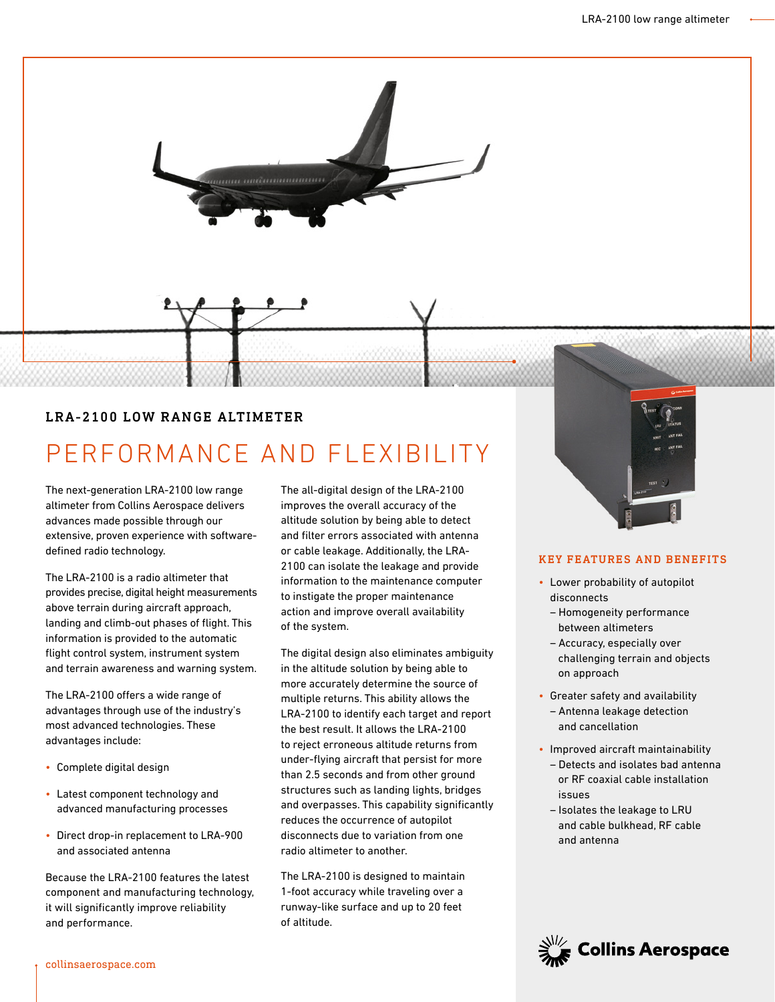

# LRA-2100 LOW RANGE ALTIMETER

# PERFORMANCE AND FLEXIBILITY

The next-generation LRA-2100 low range altimeter from Collins Aerospace delivers advances made possible through our extensive, proven experience with softwaredefined radio technology.

The LRA-2100 is a radio altimeter that provides precise, digital height measurements above terrain during aircraft approach, landing and climb-out phases of flight. This information is provided to the automatic flight control system, instrument system and terrain awareness and warning system.

The LRA-2100 offers a wide range of advantages through use of the industry's most advanced technologies. These advantages include:

- Complete digital design
- Latest component technology and advanced manufacturing processes
- Direct drop-in replacement to LRA-900 and associated antenna

Because the LRA-2100 features the latest component and manufacturing technology, it will significantly improve reliability and performance.

The all-digital design of the LRA-2100 improves the overall accuracy of the altitude solution by being able to detect and filter errors associated with antenna or cable leakage. Additionally, the LRA-2100 can isolate the leakage and provide information to the maintenance computer to instigate the proper maintenance action and improve overall availability of the system.

The digital design also eliminates ambiguity in the altitude solution by being able to more accurately determine the source of multiple returns. This ability allows the LRA-2100 to identify each target and report the best result. It allows the LRA-2100 to reject erroneous altitude returns from under-flying aircraft that persist for more than 2.5 seconds and from other ground structures such as landing lights, bridges and overpasses. This capability significantly reduces the occurrence of autopilot disconnects due to variation from one radio altimeter to another.

The LRA-2100 is designed to maintain 1-foot accuracy while traveling over a runway-like surface and up to 20 feet of altitude.



## KEY FEATURES AND BENEFITS

- Lower probability of autopilot disconnects
	- Homogeneity performance between altimeters
	- Accuracy, especially over challenging terrain and objects on approach
- Greater safety and availability – Antenna leakage detection and cancellation
- Improved aircraft maintainability
	- Detects and isolates bad antenna or RF coaxial cable installation issues
	- Isolates the leakage to LRU and cable bulkhead, RF cable and antenna